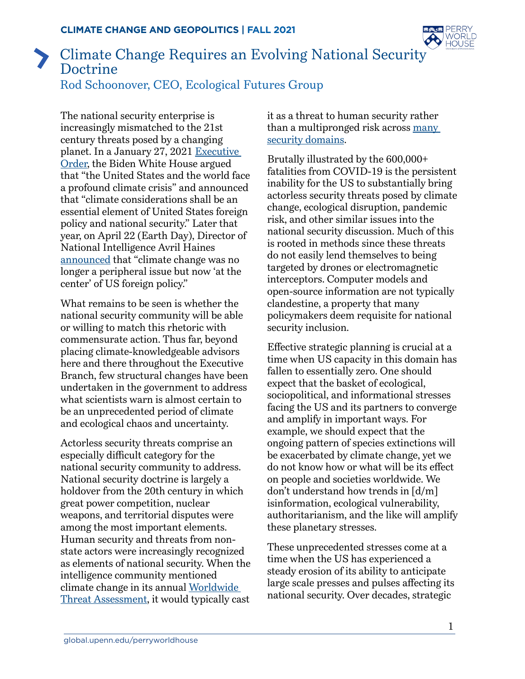

## Climate Change Requires an Evolving National Security Doctrine Rod Schoonover, CEO, Ecological Futures Group

The national security enterprise is increasingly mismatched to the 21st century threats posed by a changing planet. In a January 27, 2021 [Executive](https://www.whitehouse.gov/briefing-room/presidential-actions/2021/01/27/executive-order-on-tackling-the-climate-crisis-at-home-and-abroad/)  [Order,](https://www.whitehouse.gov/briefing-room/presidential-actions/2021/01/27/executive-order-on-tackling-the-climate-crisis-at-home-and-abroad/) the Biden White House argued that "the United States and the world face a profound climate crisis" and announced that "climate considerations shall be an essential element of United States foreign policy and national security." Later that year, on April 22 (Earth Day), Director of National Intelligence Avril Haines [announced](https://www.nytimes.com/live/2021/04/22/us/biden-earth-day-climate-summit) that "climate change was no longer a peripheral issue but now 'at the center' of US foreign policy."

What remains to be seen is whether the national security community will be able or willing to match this rhetoric with commensurate action. Thus far, beyond placing climate-knowledgeable advisors here and there throughout the Executive Branch, few structural changes have been undertaken in the government to address what scientists warn is almost certain to be an unprecedented period of climate and ecological chaos and uncertainty.

Actorless security threats comprise an especially difficult category for the national security community to address. National security doctrine is largely a holdover from the 20th century in which great power competition, nuclear weapons, and territorial disputes were among the most important elements. Human security and threats from nonstate actors were increasingly recognized as elements of national security. When the intelligence community mentioned climate change in its annual [Worldwide](https://www.dni.gov/files/ODNI/documents/2019-ATA-SFR---SSCI.pdf)  [Threat Assessment,](https://www.dni.gov/files/ODNI/documents/2019-ATA-SFR---SSCI.pdf) it would typically cast

it as a threat to human security rather than a multipronged risk across [many](https://ecologicalfutures.com/why-climate-change-is-a-security-issue/)  [security domains.](https://ecologicalfutures.com/why-climate-change-is-a-security-issue/)

Brutally illustrated by the 600,000+ fatalities from COVID-19 is the persistent inability for the US to substantially bring actorless security threats posed by climate change, ecological disruption, pandemic risk, and other similar issues into the national security discussion. Much of this is rooted in methods since these threats do not easily lend themselves to being targeted by drones or electromagnetic interceptors. Computer models and open-source information are not typically clandestine, a property that many policymakers deem requisite for national security inclusion.

Effective strategic planning is crucial at a time when US capacity in this domain has fallen to essentially zero. One should expect that the basket of ecological, sociopolitical, and informational stresses facing the US and its partners to converge and amplify in important ways. For example, we should expect that the ongoing pattern of species extinctions will be exacerbated by climate change, yet we do not know how or what will be its effect on people and societies worldwide. We don't understand how trends in [d/m] isinformation, ecological vulnerability, authoritarianism, and the like will amplify these planetary stresses.

These unprecedented stresses come at a time when the US has experienced a steady erosion of its ability to anticipate large scale presses and pulses affecting its national security. Over decades, strategic